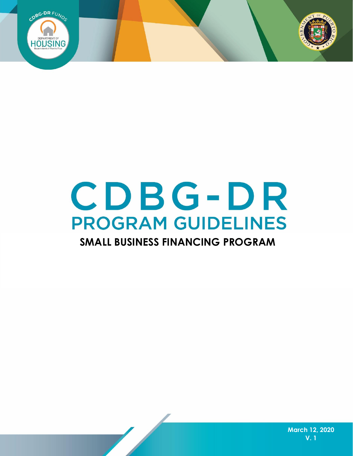



# **SMALL BUSINESS FINANCING PROGRAM**

**March 12, 2020 V. 1**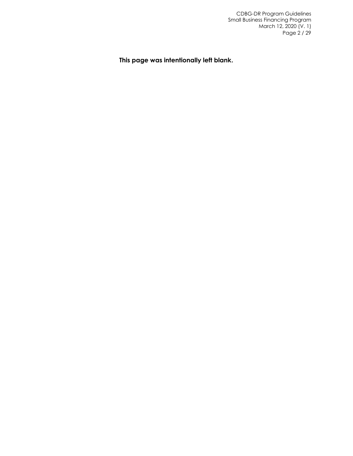CDBG-DR Program Guidelines Small Business Financing Program March 12, 2020 (V. 1) Page 2 / 29

**This page was intentionally left blank.**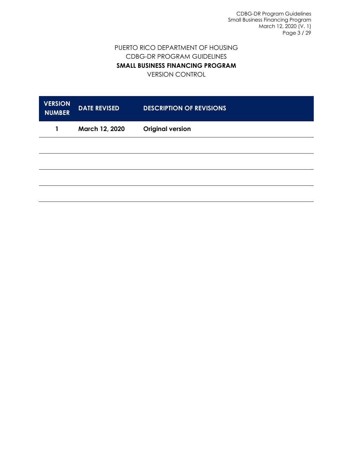CDBG-DR Program Guidelines Small Business Financing Program March 12, 2020 (V. 1) Page 3 / 29

#### PUERTO RICO DEPARTMENT OF HOUSING CDBG-DR PROGRAM GUIDELINES **SMALL BUSINESS FINANCING PROGRAM** VERSION CONTROL

**VERSION NUMBER DATE REVISED DESCRIPTION OF REVISIONS 1 March 12, 2020 Original version**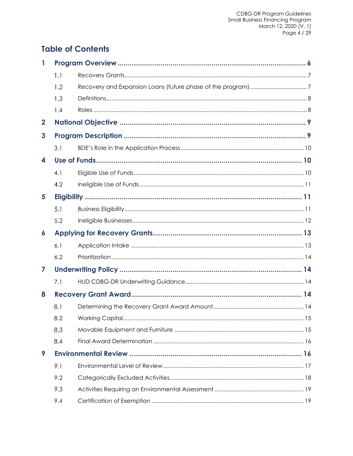# **Table of Contents**

| 1            |     |  |  |  |
|--------------|-----|--|--|--|
|              | 1.1 |  |  |  |
|              | 1.2 |  |  |  |
|              | 1.3 |  |  |  |
|              | 1.4 |  |  |  |
| $\mathbf 2$  |     |  |  |  |
| $\mathbf{3}$ |     |  |  |  |
|              | 3.1 |  |  |  |
| 4            |     |  |  |  |
|              | 4.1 |  |  |  |
|              | 4.2 |  |  |  |
| 5            |     |  |  |  |
|              | 5.1 |  |  |  |
|              | 5.2 |  |  |  |
| 6            |     |  |  |  |
|              | 6.1 |  |  |  |
|              | 6.2 |  |  |  |
| 7            |     |  |  |  |
|              | 7.1 |  |  |  |
| 8            |     |  |  |  |
|              | 8.1 |  |  |  |
|              | 8.2 |  |  |  |
|              | 8.3 |  |  |  |
|              | 8.4 |  |  |  |
| 9            |     |  |  |  |
|              | 9.1 |  |  |  |
|              | 9.2 |  |  |  |
|              | 9.3 |  |  |  |
|              | 9.4 |  |  |  |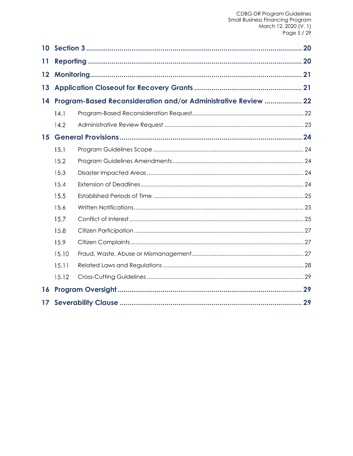| 10      |                                                                |  |  |  |  |
|---------|----------------------------------------------------------------|--|--|--|--|
| 11      |                                                                |  |  |  |  |
| 12      |                                                                |  |  |  |  |
| 13      |                                                                |  |  |  |  |
| 14      | Program-Based Reconsideration and/or Administrative Review  22 |  |  |  |  |
|         | 14.1                                                           |  |  |  |  |
|         | 14.2                                                           |  |  |  |  |
| 15      |                                                                |  |  |  |  |
|         | 15.1                                                           |  |  |  |  |
|         | 15.2                                                           |  |  |  |  |
|         | 15.3                                                           |  |  |  |  |
|         | 15.4                                                           |  |  |  |  |
|         | 15.5                                                           |  |  |  |  |
|         | 15.6                                                           |  |  |  |  |
|         | 15.7                                                           |  |  |  |  |
|         | 15.8                                                           |  |  |  |  |
|         | 15.9                                                           |  |  |  |  |
|         | 15.10                                                          |  |  |  |  |
|         | 15.11                                                          |  |  |  |  |
|         | 15.12                                                          |  |  |  |  |
| 16      |                                                                |  |  |  |  |
| $17 \,$ |                                                                |  |  |  |  |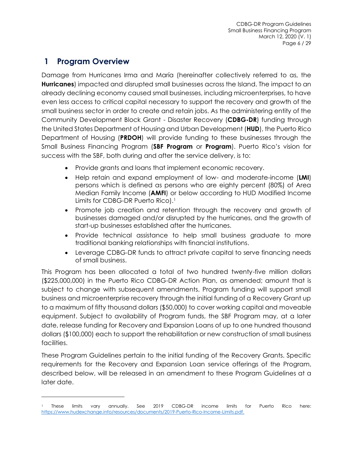# <span id="page-5-0"></span>**1 Program Overview**

Damage from Hurricanes Irma and María (hereinafter collectively referred to as, the **Hurricanes**) impacted and disrupted small businesses across the Island. The impact to an already declining economy caused small businesses, including microenterprises, to have even less access to critical capital necessary to support the recovery and growth of the small business sector in order to create and retain jobs. As the administering entity of the Community Development Block Grant - Disaster Recovery (**CDBG-DR**) funding through the United States Department of Housing and Urban Development (**HUD**), the Puerto Rico Department of Housing (**PRDOH**) will provide funding to these businesses through the Small Business Financing Program (**SBF Program** or **Program**). Puerto Rico's vision for success with the SBF, both during and after the service delivery, is to:

- Provide grants and loans that implement economic recovery.
- Help retain and expand employment of low- and moderate-income (**LMI**) persons which is defined as persons who are eighty percent (80%) of Area Median Family Income (**AMFI**) or below according to HUD Modified Income Limits for CDBG-DR Puerto Rico).<sup>1</sup>
- Promote job creation and retention through the recovery and growth of businesses damaged and/or disrupted by the hurricanes, and the growth of start-up businesses established after the hurricanes.
- Provide technical assistance to help small business graduate to more traditional banking relationships with financial institutions.
- Leverage CDBG-DR funds to attract private capital to serve financing needs of small business.

This Program has been allocated a total of two hundred twenty-five million dollars (\$225,000,000) in the Puerto Rico CDBG-DR Action Plan, as amended; amount that is subject to change with subsequent amendments. Program funding will support small business and microenterprise recovery through the initial funding of a Recovery Grant up to a maximum of fifty thousand dollars (\$50,000) to cover working capital and moveable equipment. Subject to availability of Program funds, the SBF Program may, at a later date, release funding for Recovery and Expansion Loans of up to one hundred thousand dollars (\$100,000) each to support the rehabilitation or new construction of small business facilities.

These Program Guidelines pertain to the initial funding of the Recovery Grants. Specific requirements for the Recovery and Expansion Loan service offerings of the Program, described below, will be released in an amendment to these Program Guidelines at a later date.

<sup>1</sup> These limits vary annually. See 2019 CDBG-DR income limits for Puerto Rico here: [https://www.hudexchange.info/resources/documents/2019-Puerto-Rico-Income-Limits.pdf.](https://www.hudexchange.info/resources/documents/2019-Puerto-Rico-Income-Limits.pdf)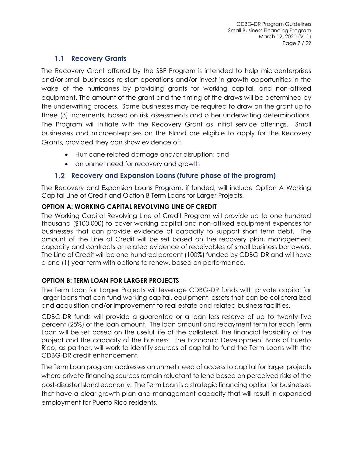# 1.1 Recovery Grants

<span id="page-6-0"></span>The Recovery Grant offered by the SBF Program is intended to help microenterprises and/or small businesses re-start operations and/or invest in growth opportunities in the wake of the hurricanes by providing grants for working capital, and non-affixed equipment. The amount of the grant and the timing of the draws will be determined by the underwriting process. Some businesses may be required to draw on the grant up to three (3) increments, based on risk assessments and other underwriting determinations. The Program will initiate with the Recovery Grant as initial service offerings. Small businesses and microenterprises on the Island are eligible to apply for the Recovery Grants, provided they can show evidence of:

- Hurricane-related damage and/or disruption; and
- an unmet need for recovery and growth

## **Recovery and Expansion Loans (future phase of the program)**

<span id="page-6-1"></span>The Recovery and Expansion Loans Program, if funded, will include Option A Working Capital Line of Credit and Option B Term Loans for Larger Projects.

#### **OPTION A: WORKING CAPITAL REVOLVING LINE OF CREDIT**

The Working Capital Revolving Line of Credit Program will provide up to one hundred thousand (\$100,000) to cover working capital and non-affixed equipment expenses for businesses that can provide evidence of capacity to support short term debt. The amount of the Line of Credit will be set based on the recovery plan, management capacity and contracts or related evidence of receivables of small business borrowers. The Line of Credit will be one-hundred percent (100%) funded by CDBG-DR and will have a one (1) year term with options to renew, based on performance.

#### **OPTION B: TERM LOAN FOR LARGER PROJECTS**

The Term Loan for Larger Projects will leverage CDBG-DR funds with private capital for larger loans that can fund working capital, equipment, assets that can be collateralized and acquisition and/or improvement to real estate and related business facilities.

CDBG-DR funds will provide a guarantee or a loan loss reserve of up to twenty-five percent (25%) of the loan amount. The loan amount and repayment term for each Term Loan will be set based on the useful life of the collateral, the financial feasibility of the project and the capacity of the business. The Economic Development Bank of Puerto Rico, as partner, will work to identify sources of capital to fund the Term Loans with the CDBG-DR credit enhancement.

The Term Loan program addresses an unmet need of access to capital for larger projects where private financing sources remain reluctant to lend based on perceived risks of the post-disaster Island economy. The Term Loan is a strategic financing option for businesses that have a clear growth plan and management capacity that will result in expanded employment for Puerto Rico residents.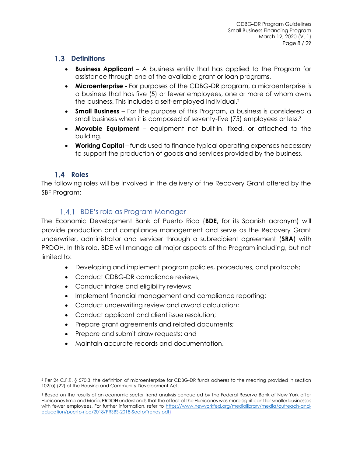## <span id="page-7-0"></span>1.3 Definitions

- **Business Applicant**  A business entity that has applied to the Program for assistance through one of the available grant or loan programs.
- **Microenterprise** For purposes of the CDBG-DR program, a microenterprise is a business that has five (5) or fewer employees, one or more of whom owns the business. This includes a self-employed individual.<sup>2</sup>
- **Small Business** For the purpose of this Program, a business is considered a small business when it is composed of seventy-five (75) employees or less.<sup>3</sup>
- **Movable Equipment** equipment not built-in, fixed, or attached to the building.
- **Working Capital**  funds used to finance typical operating expenses necessary to support the production of goods and services provided by the business.

## 1.4 Roles

<span id="page-7-1"></span>The following roles will be involved in the delivery of the Recovery Grant offered by the SBF Program:

# 1.4.1 BDE's role as Program Manager

The Economic Development Bank of Puerto Rico (**BDE,** for its Spanish acronym) will provide production and compliance management and serve as the Recovery Grant underwriter, administrator and servicer through a subrecipient agreement (**SRA**) with PRDOH. In this role, BDE will manage all major aspects of the Program including, but not limited to:

- Developing and implement program policies, procedures, and protocols;
- Conduct CDBG-DR compliance reviews;
- Conduct intake and eligibility reviews;
- Implement financial management and compliance reporting;
- Conduct underwriting review and award calculation;
- Conduct applicant and client issue resolution;
- Prepare grant agreements and related documents;
- Prepare and submit draw requests; and
- Maintain accurate records and documentation.

<sup>2</sup> Per 24 C.F.R. § 570.3, the definition of microenterprise for CDBG-DR funds adheres to the meaning provided in section 102(a) (22) of the Housing and Community Development Act.

<sup>3</sup> Based on the results of an economic sector trend analysis conducted by the Federal Reserve Bank of New York after Hurricanes Irma and María, PRDOH understands that the effect of the Hurricanes was more significant for smaller businesses with fewer employees. For further information, refer to [https://www.newyorkfed.org/medialibrary/media/outreach-and](https://www.newyorkfed.org/medialibrary/media/outreach-and-education/puerto-rico/2018/PRSBS-2018-SectorTrends.pdf)[education/puerto-rico/2018/PRSBS-2018-SectorTrends.pdf\)](https://www.newyorkfed.org/medialibrary/media/outreach-and-education/puerto-rico/2018/PRSBS-2018-SectorTrends.pdf)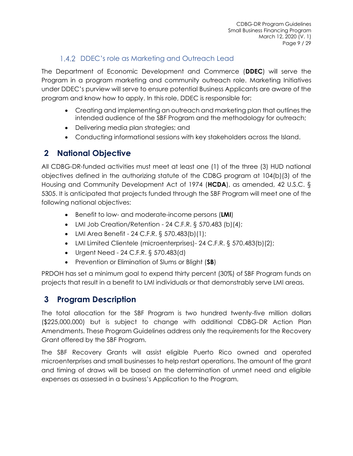# 1.4.2 DDEC's role as Marketing and Outreach Lead

The Department of Economic Development and Commerce (**DDEC**) will serve the Program in a program marketing and community outreach role. Marketing Initiatives under DDEC's purview will serve to ensure potential Business Applicants are aware of the program and know how to apply. In this role, DDEC is responsible for:

- Creating and implementing an outreach and marketing plan that outlines the intended audience of the SBF Program and the methodology for outreach;
- Delivering media plan strategies; and
- Conducting informational sessions with key stakeholders across the Island.

# <span id="page-8-0"></span>**2 National Objective**

All CDBG-DR-funded activities must meet at least one (1) of the three (3) HUD national objectives defined in the authorizing statute of the CDBG program at 104(b)(3) of the Housing and Community Development Act of 1974 (**HCDA**), as amended, 42 U.S.C. § 5305. It is anticipated that projects funded through the SBF Program will meet one of the following national objectives:

- Benefit to low- and moderate-income persons (**LMI**)
- LMI Job Creation/Retention 24 C.F.R.  $\S$  570.483 (b)(4);
- LMI Area Benefit 24 C.F.R.  $\S$  570.483(b)(1);
- LMI Limited Clientele (microenterprises) 24 C.F.R. § 570.483(b)(2);
- Urgent Need 24 C.F.R. § 570.483(d)
- Prevention or Elimination of Slums or Blight (**SB**)

PRDOH has set a minimum goal to expend thirty percent (30%) of SBF Program funds on projects that result in a benefit to LMI individuals or that demonstrably serve LMI areas.

# <span id="page-8-1"></span>**3 Program Description**

The total allocation for the SBF Program is two hundred twenty-five million dollars (\$225,000,000) but is subject to change with additional CDBG-DR Action Plan Amendments. These Program Guidelines address only the requirements for the Recovery Grant offered by the SBF Program.

The SBF Recovery Grants will assist eligible Puerto Rico owned and operated microenterprises and small businesses to help restart operations. The amount of the grant and timing of draws will be based on the determination of unmet need and eligible expenses as assessed in a business's Application to the Program.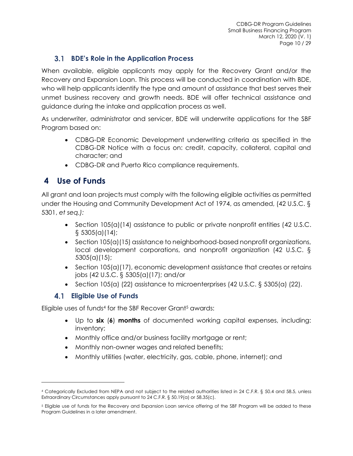## <span id="page-9-0"></span>**BDE's Role in the Application Process**

When available, eligible applicants may apply for the Recovery Grant and/or the Recovery and Expansion Loan. This process will be conducted in coordination with BDE, who will help applicants identify the type and amount of assistance that best serves their unmet business recovery and growth needs. BDE will offer technical assistance and guidance during the intake and application process as well.

As underwriter, administrator and servicer, BDE will underwrite applications for the SBF Program based on:

- CDBG-DR Economic Development underwriting criteria as specified in the CDBG-DR Notice with a focus on: credit, capacity, collateral, capital and character; and
- CDBG-DR and Puerto Rico compliance requirements.

# <span id="page-9-1"></span>**4 Use of Funds**

All grant and loan projects must comply with the following eligible activities as permitted under the Housing and Community Development Act of 1974, as amended, (42 U.S.C. § 5301, *et seq.):*

- Section 105(a)(14) assistance to public or private nonprofit entities (42 U.S.C.  $§$  5305(a)(14);
- Section 105(a)(15) assistance to neighborhood-based nonprofit organizations, local development corporations, and nonprofit organization (42 U.S.C. § 5305(a)(15);
- Section 105(a)(17), economic development assistance that creates or retains jobs (42 U.S.C. § 5305(a)(17); and/or
- <span id="page-9-2"></span>• Section 105(a) (22) assistance to microenterprises (42 U.S.C. § 5305(a) (22).

#### **Eligible Use of Funds**

Eligible uses of funds<sup>4</sup> for the SBF Recover Grant<sup>5</sup> awards:

- Up to **six** (**6**) **months** of documented working capital expenses, including: inventory;
- Monthly office and/or business facility mortgage or rent;
- Monthly non-owner wages and related benefits;
- Monthly utilities (water, electricity, gas, cable, phone, internet); and

<sup>4</sup> Categorically Excluded from NEPA and not subject to the related authorities listed in 24 C.F.R. § 50.4 and 58.5, unless Extraordinary Circumstances apply pursuant to 24 C.F.R. § 50.19(a) or 58.35(c).

<sup>5</sup> Eligible use of funds for the Recovery and Expansion Loan service offering of the SBF Program will be added to these Program Guidelines in a later amendment.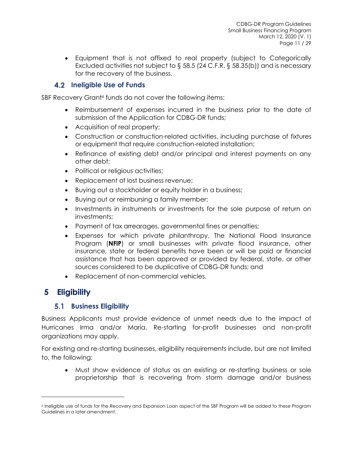• Equipment that is not affixed to real property (subject to Categorically Excluded activities not subject to § 58.5 (24 C.F.R. § 58.35(b)) and is necessary for the recovery of the business.

#### <span id="page-10-0"></span>**Ineligible Use of Funds**

SBF Recovery Grant<sup>6</sup> funds do not cover the following items:

- Reimbursement of expenses incurred in the business prior to the date of submission of the Application for CDBG-DR funds;
- Acquisition of real property;
- Construction or construction-related activities, including purchase of fixtures or equipment that require construction-related installation;
- Refinance of existing debt and/or principal and interest payments on any other debt;
- Political or religious activities;
- Replacement of lost business revenue;
- Buying out a stockholder or equity holder in a business;
- Buying out or reimbursing a family member;
- Investments in instruments or investments for the sole purpose of return on investments;
- Payment of tax arrearages, governmental fines or penalties;
- Expenses for which private philanthropy, The National Flood Insurance Program (**NFIP**) or small businesses with private flood insurance, other insurance, state or federal benefits have been or will be paid or financial assistance that has been approved or provided by federal, state, or other sources considered to be duplicative of CDBG-DR funds; and
- Replacement of non-commercial vehicles.

# <span id="page-10-1"></span>**5 Eligibility**

#### <span id="page-10-2"></span>**Business Eligibility**

Business Applicants must provide evidence of unmet needs due to the impact of Hurricanes Irma and/or María. Re-starting for-profit businesses and non-profit organizations may apply.

For existing and re-starting businesses, eligibility requirements include, but are not limited to, the following:

• Must show evidence of status as an existing or re-starting business or sole proprietorship that is recovering from storm damage and/or business

<sup>6</sup> Ineligible use of funds for the Recovery and Expansion Loan aspect of the SBF Program will be added to these Program Guidelines in a later amendment.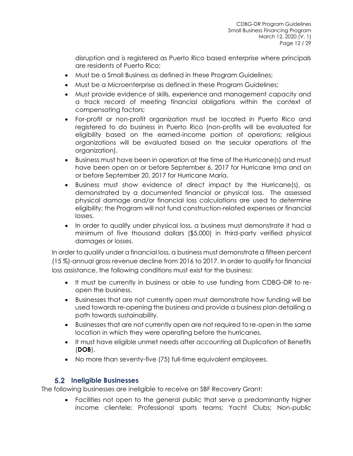disruption and is registered as Puerto Rico based enterprise where principals are residents of Puerto Rico;

- Must be a Small Business as defined in these Program Guidelines;
- Must be a Microenterprise as defined in these Program Guidelines;
- Must provide evidence of skills, experience and management capacity and a track record of meeting financial obligations within the context of compensating factors;
- For-profit or non-profit organization must be located in Puerto Rico and registered to do business in Puerto Rico (non-profits will be evaluated for eligibility based on the earned-income portion of operations; religious organizations will be evaluated based on the secular operations of the organization).
- Business must have been in operation at the time of the Hurricane(s) and must have been open on or before September 6, 2017 for Hurricane Irma and on or before September 20, 2017 for Hurricane María.
- Business must show evidence of direct impact by the Hurricane(s), as demonstrated by a documented financial or physical loss. The assessed physical damage and/or financial loss calculations are used to determine eligibility; the Program will not fund construction-related expenses or financial losses.
- In order to qualify under physical loss, a business must demonstrate it had a minimum of five thousand dollars (\$5,000) in third-party verified physical damages or losses.

In order to qualify under a financial loss, a business must demonstrate a fifteen percent (15 %)-annual gross revenue decline from 2016 to 2017. In order to qualify for financial loss assistance, the following conditions must exist for the business:

- It must be currently in business or able to use funding from CDBG-DR to reopen the business.
- Businesses that are not currently open must demonstrate how funding will be used towards re-opening the business and provide a business plan detailing a path towards sustainability.
- Businesses that are not currently open are not required to re-open in the same location in which they were operating before the hurricanes.
- It must have eligible unmet needs after accounting all Duplication of Benefits (**DOB**).
- No more than seventy-five (75) full-time equivalent employees.

#### **Ineligible Businesses**

<span id="page-11-0"></span>The following businesses are ineligible to receive an SBF Recovery Grant:

• Facilities not open to the general public that serve a predominantly higher income clientele; Professional sports teams; Yacht Clubs; Non-public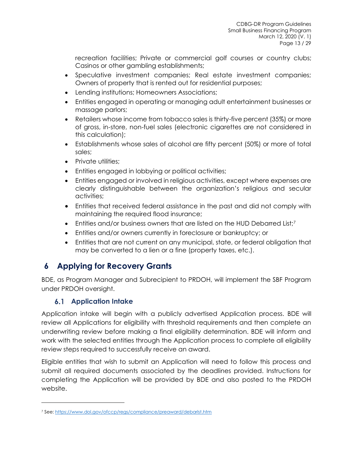recreation facilities; Private or commercial golf courses or country clubs; Casinos or other gambling establishments;

- Speculative investment companies; Real estate investment companies; Owners of property that is rented out for residential purposes;
- Lending institutions; Homeowners Associations;
- Entities engaged in operating or managing adult entertainment businesses or massage parlors;
- Retailers whose income from tobacco sales is thirty-five percent (35%) or more of gross, in-store, non-fuel sales (electronic cigarettes are not considered in this calculation);
- Establishments whose sales of alcohol are fifty percent (50%) or more of total sales;
- Private utilities:
- Entities engaged in lobbying or political activities;
- Entities engaged or involved in religious activities, except where expenses are clearly distinguishable between the organization's religious and secular activities;
- Entities that received federal assistance in the past and did not comply with maintaining the required flood insurance;
- Entities and/or business owners that are listed on the HUD Debarred List;<sup>7</sup>
- Entities and/or owners currently in foreclosure or bankruptcy; or
- Entities that are not current on any municipal, state, or federal obligation that may be converted to a lien or a fine (property taxes, etc.).

# <span id="page-12-0"></span>**6 Applying for Recovery Grants**

BDE, as Program Manager and Subrecipient to PRDOH, will implement the SBF Program under PRDOH oversight.

## <span id="page-12-1"></span>**Application Intake**

Application intake will begin with a publicly advertised Application process. BDE will review all Applications for eligibility with threshold requirements and then complete an underwriting review before making a final eligibility determination. BDE will inform and work with the selected entities through the Application process to complete all eligibility review steps required to successfully receive an award.

Eligible entities that wish to submit an Application will need to follow this process and submit all required documents associated by the deadlines provided. Instructions for completing the Application will be provided by BDE and also posted to the PRDOH website.

<sup>7</sup> See:<https://www.dol.gov/ofccp/regs/compliance/preaward/debarlst.htm>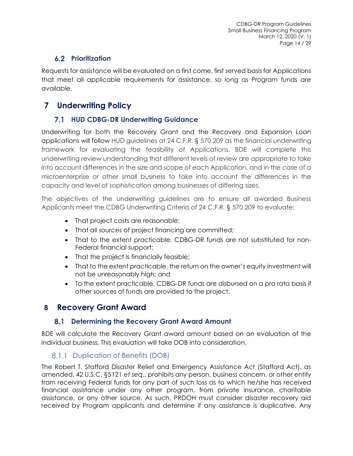# **6.2 Prioritization**

<span id="page-13-0"></span>Requests for assistance will be evaluated on a first come, first served basis for Applications that meet all applicable requirements for assistance, so long as Program funds are available.

# <span id="page-13-1"></span>**7 Underwriting Policy**

## <span id="page-13-2"></span>**7.1 HUD CDBG-DR Underwriting Guidance**

Underwriting for both the Recovery Grant and the Recovery and Expansion Loan applications will follow HUD guidelines at 24 C.F.R. § 570.209 as the financial underwriting framework for evaluating the feasibility of Applications. BDE will complete this underwriting review understanding that different levels of review are appropriate to take into account differences in the size and scope of each Application, and in the case of a microenterprise or other small business to take into account the differences in the capacity and level of sophistication among businesses of differing sizes.

The objectives of the underwriting guidelines are to ensure all awarded Business Applicants meet the CDBG Underwriting Criteria of 24 C.F.R. § 570.209 to evaluate:

- That project costs are reasonable;
- That all sources of project financing are committed;
- That to the extent practicable, CDBG-DR funds are not substituted for non-Federal financial support;
- That the project is financially feasible;
- That to the extent practicable, the return on the owner's equity investment will not be unreasonably high; and
- To the extent practicable, CDBG-DR funds are disbursed on a pro rata basis if other sources of funds are provided to the project.

# <span id="page-13-3"></span>**8 Recovery Grant Award**

## <span id="page-13-4"></span>**Determining the Recovery Grant Award Amount**

BDE will calculate the Recovery Grant award amount based on an evaluation of the individual business. This evaluation will take DOB into consideration.

## 8.1.1 Duplication of Benefits (DOB)

The Robert T. Stafford Disaster Relief and Emergency Assistance Act (Stafford Act), as amended, 42 U.S.C. §5121 *et seq*., prohibits any person, business concern, or other entity from receiving Federal funds for any part of such loss as to which he/she has received financial assistance under any other program, from private insurance, charitable assistance, or any other source. As such, PRDOH must consider disaster recovery aid received by Program applicants and determine if any assistance is duplicative. Any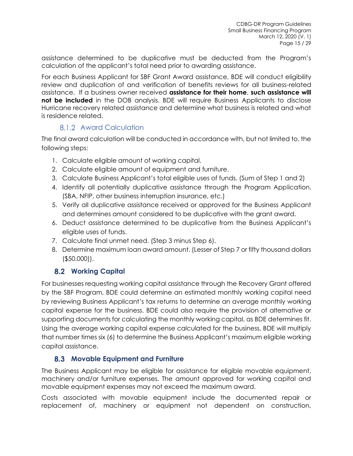assistance determined to be duplicative must be deducted from the Program's calculation of the applicant's total need prior to awarding assistance.

For each Business Applicant for SBF Grant Award assistance, BDE will conduct eligibility review and duplication of and verification of benefits reviews for all business-related assistance. If a business owner received **assistance for their home**, **such assistance will not be included** in the DOB analysis. BDE will require Business Applicants to disclose Hurricane recovery related assistance and determine what business is related and what is residence related.

## 8.1.2 Award Calculation

The final award calculation will be conducted in accordance with, but not limited to, the following steps:

- 1. Calculate eligible amount of working capital.
- 2. Calculate eligible amount of equipment and furniture.
- 3. Calculate Business Applicant's total eligible uses of funds. (Sum of Step 1 and 2)
- 4. Identify all potentially duplicative assistance through the Program Application. (SBA, NFIP, other business interruption insurance, etc.)
- 5. Verify all duplicative assistance received or approved for the Business Applicant and determines amount considered to be duplicative with the grant award.
- 6. Deduct assistance determined to be duplicative from the Business Applicant's eligible uses of funds.
- 7. Calculate final unmet need. (Step 3 minus Step 6).
- 8. Determine maximum loan award amount. (Lesser of Step 7 or fifty thousand dollars (\$50,000)).

## **Working Capital**

<span id="page-14-0"></span>For businesses requesting working capital assistance through the Recovery Grant offered by the SBF Program, BDE could determine an estimated monthly working capital need by reviewing Business Applicant's tax returns to determine an average monthly working capital expense for the business. BDE could also require the provision of alternative or supporting documents for calculating the monthly working capital, as BDE determines fit. Using the average working capital expense calculated for the business, BDE will multiply that number times six (6) to determine the Business Applicant's maximum eligible working capital assistance.

## **Movable Equipment and Furniture**

<span id="page-14-1"></span>The Business Applicant may be eligible for assistance for eligible movable equipment, machinery and/or furniture expenses. The amount approved for working capital and movable equipment expenses may not exceed the maximum award.

Costs associated with movable equipment include the documented repair or replacement of, machinery or equipment not dependent on construction,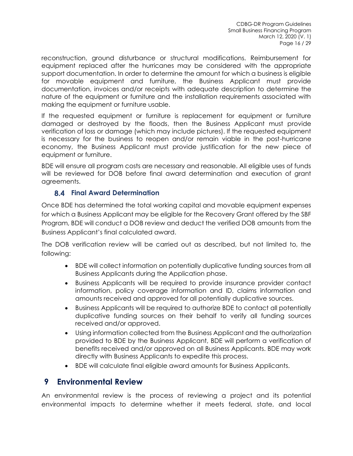reconstruction, ground disturbance or structural modifications. Reimbursement for equipment replaced after the hurricanes may be considered with the appropriate support documentation. In order to determine the amount for which a business is eligible for movable equipment and furniture, the Business Applicant must provide documentation, invoices and/or receipts with adequate description to determine the nature of the equipment or furniture and the installation requirements associated with making the equipment or furniture usable.

If the requested equipment or furniture is replacement for equipment or furniture damaged or destroyed by the floods, then the Business Applicant must provide verification of loss or damage (which may include pictures). If the requested equipment is necessary for the business to reopen and/or remain viable in the post-hurricane economy, the Business Applicant must provide justification for the new piece of equipment or furniture.

BDE will ensure all program costs are necessary and reasonable. All eligible uses of funds will be reviewed for DOB before final award determination and execution of grant agreements.

## **Final Award Determination**

<span id="page-15-0"></span>Once BDE has determined the total working capital and movable equipment expenses for which a Business Applicant may be eligible for the Recovery Grant offered by the SBF Program, BDE will conduct a DOB review and deduct the verified DOB amounts from the Business Applicant's final calculated award.

The DOB verification review will be carried out as described, but not limited to, the following:

- BDE will collect information on potentially duplicative funding sources from all Business Applicants during the Application phase.
- Business Applicants will be required to provide insurance provider contact information, policy coverage information and ID, claims information and amounts received and approved for all potentially duplicative sources.
- Business Applicants will be required to authorize BDE to contact all potentially duplicative funding sources on their behalf to verify all funding sources received and/or approved.
- Using information collected from the Business Applicant and the authorization provided to BDE by the Business Applicant, BDE will perform a verification of benefits received and/or approved on all Business Applicants. BDE may work directly with Business Applicants to expedite this process.
- BDE will calculate final eligible award amounts for Business Applicants.

# <span id="page-15-1"></span>**9 Environmental Review**

An environmental review is the process of reviewing a project and its potential environmental impacts to determine whether it meets federal, state, and local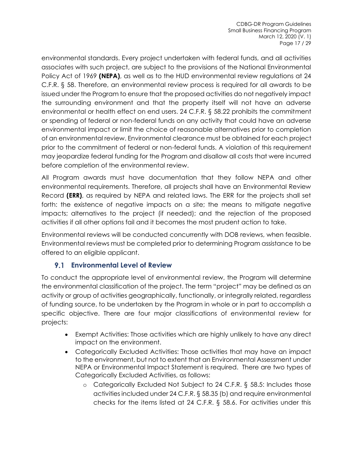environmental standards. Every project undertaken with federal funds, and all activities associates with such project, are subject to the provisions of the National Environmental Policy Act of 1969 **(NEPA)**, as well as to the HUD environmental review regulations at 24 C.F.R. § 58. Therefore, an environmental review process is required for all awards to be issued under the Program to ensure that the proposed activities do not negatively impact the surrounding environment and that the property itself will not have an adverse environmental or health effect on end users. 24 C.F.R. § 58.22 prohibits the commitment or spending of federal or non-federal funds on any activity that could have an adverse environmental impact or limit the choice of reasonable alternatives prior to completion of an environmental review. Environmental clearance must be obtained for each project prior to the commitment of federal or non-federal funds. A violation of this requirement may jeopardize federal funding for the Program and disallow all costs that were incurred before completion of the environmental review.

All Program awards must have documentation that they follow NEPA and other environmental requirements. Therefore, all projects shall have an Environmental Review Record **(ERR)**, as required by NEPA and related laws. The ERR for the projects shall set forth: the existence of negative impacts on a site; the means to mitigate negative impacts; alternatives to the project (if needed); and the rejection of the proposed activities if all other options fail and it becomes the most prudent action to take.

Environmental reviews will be conducted concurrently with DOB reviews, when feasible. Environmental reviews must be completed prior to determining Program assistance to be offered to an eligible applicant.

## <span id="page-16-0"></span>**Environmental Level of Review**

To conduct the appropriate level of environmental review, the Program will determine the environmental classification of the project. The term "project" may be defined as an activity or group of activities geographically, functionally, or integrally related, regardless of funding source, to be undertaken by the Program in whole or in part to accomplish a specific objective. There are four major classifications of environmental review for projects:

- Exempt Activities: Those activities which are highly unlikely to have any direct impact on the environment.
- Categorically Excluded Activities: Those activities that may have an impact to the environment, but not to extent that an Environmental Assessment under NEPA or Environmental Impact Statement is required. There are two types of Categorically Excluded Activities, as follows:
	- o Categorically Excluded Not Subject to 24 C.F.R. § 58.5: Includes those activities included under 24 C.F.R. § 58.35 (b) and require environmental checks for the items listed at 24 C.F.R. § 58.6. For activities under this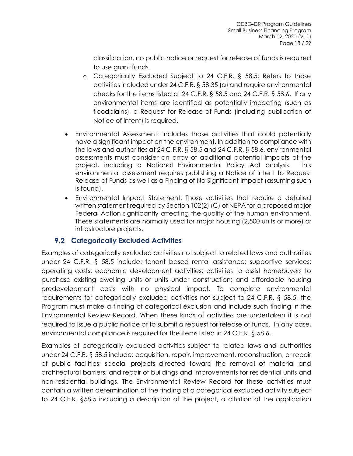classification, no public notice or request for release of funds is required to use grant funds.

- o Categorically Excluded Subject to 24 C.F.R. § 58.5: Refers to those activities included under 24 C.F.R. § 58.35 (a) and require environmental checks for the items listed at 24 C.F.R. § 58.5 and 24 C.F.R. § 58.6. If any environmental items are identified as potentially impacting (such as floodplains), a Request for Release of Funds (including publication of Notice of Intent) is required.
- Environmental Assessment: Includes those activities that could potentially have a significant impact on the environment. In addition to compliance with the laws and authorities at 24 C.F.R. § 58.5 and 24 C.F.R. § 58.6, environmental assessments must consider an array of additional potential impacts of the project, including a National Environmental Policy Act analysis. This environmental assessment requires publishing a Notice of Intent to Request Release of Funds as well as a Finding of No Significant Impact (assuming such is found).
- Environmental Impact Statement: Those activities that require a detailed written statement required by Section 102(2) (C) of NEPA for a proposed major Federal Action significantly affecting the quality of the human environment. These statements are normally used for major housing (2,500 units or more) or infrastructure projects.

## <span id="page-17-0"></span>**Categorically Excluded Activities**

Examples of categorically excluded activities not subject to related laws and authorities under 24 C.F.R. § 58.5 include: tenant based rental assistance; supportive services; operating costs; economic development activities; activities to assist homebuyers to purchase existing dwelling units or units under construction; and affordable housing predevelopment costs with no physical impact. To complete environmental requirements for categorically excluded activities not subject to 24 C.F.R. § 58.5, the Program must make a finding of categorical exclusion and include such finding in the Environmental Review Record. When these kinds of activities are undertaken it is not required to issue a public notice or to submit a request for release of funds. In any case, environmental compliance is required for the items listed in 24 C.F.R. § 58.6.

Examples of categorically excluded activities subject to related laws and authorities under 24 C.F.R. § 58.5 include: acquisition, repair, improvement, reconstruction, or repair of public facilities; special projects directed toward the removal of material and architectural barriers; and repair of buildings and improvements for residential units and non-residential buildings. The Environmental Review Record for these activities must contain a written determination of the finding of a categorical excluded activity subject to 24 C.F.R. §58.5 including a description of the project, a citation of the application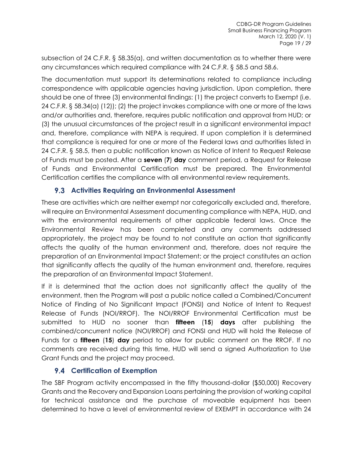subsection of 24 C.F.R. § 58.35(a), and written documentation as to whether there were any circumstances which required compliance with 24 C.F.R. § 58.5 and 58.6.

The documentation must support its determinations related to compliance including correspondence with applicable agencies having jurisdiction. Upon completion, there should be one of three (3) environmental findings: (1) the project converts to Exempt (i.e. 24 C.F.R. § 58.34(a) (12)); (2) the project invokes compliance with one or more of the laws and/or authorities and, therefore, requires public notification and approval from HUD; or (3) the unusual circumstances of the project result in a significant environmental impact and, therefore, compliance with NEPA is required. If upon completion it is determined that compliance is required for one or more of the Federal laws and authorities listed in 24 C.F.R. § 58.5, then a public notification known as Notice of Intent to Request Release of Funds must be posted. After a **seven** (**7**) **day** comment period, a Request for Release of Funds and Environmental Certification must be prepared. The Environmental Certification certifies the compliance with all environmental review requirements.

## **Activities Requiring an Environmental Assessment**

<span id="page-18-0"></span>These are activities which are neither exempt nor categorically excluded and, therefore, will require an Environmental Assessment documenting compliance with NEPA, HUD, and with the environmental requirements of other applicable federal laws. Once the Environmental Review has been completed and any comments addressed appropriately, the project may be found to not constitute an action that significantly affects the quality of the human environment and, therefore, does not require the preparation of an Environmental Impact Statement; or the project constitutes an action that significantly affects the quality of the human environment and, therefore, requires the preparation of an Environmental Impact Statement.

If it is determined that the action does not significantly affect the quality of the environment, then the Program will post a public notice called a Combined/Concurrent Notice of Finding of No Significant Impact (FONSI) and Notice of Intent to Request Release of Funds (NOI/RROF). The NOI/RROF Environmental Certification must be submitted to HUD no sooner than **fifteen** (**15**) **days** after publishing the combined/concurrent notice (NOI/RROF) and FONSI and HUD will hold the Release of Funds for a **fifteen** (**15**) **day** period to allow for public comment on the RROF. If no comments are received during this time, HUD will send a signed Authorization to Use Grant Funds and the project may proceed.

## **Certification of Exemption**

<span id="page-18-1"></span>The SBF Program activity encompassed in the fifty thousand-dollar (\$50,000) Recovery Grants and the Recovery and Expansion Loans pertaining the provision of working capital for technical assistance and the purchase of moveable equipment has been determined to have a level of environmental review of EXEMPT in accordance with 24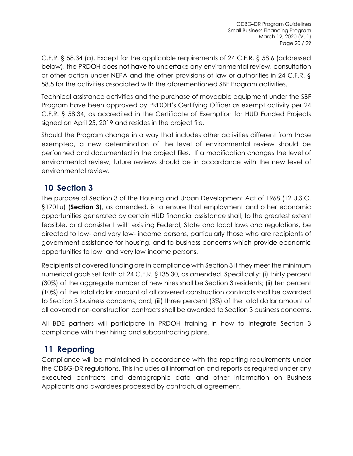C.F.R. § 58.34 (a). Except for the applicable requirements of 24 C.F.R. § 58.6 (addressed below), the PRDOH does not have to undertake any environmental review, consultation or other action under NEPA and the other provisions of law or authorities in 24 C.F.R. § 58.5 for the activities associated with the aforementioned SBF Program activities.

Technical assistance activities and the purchase of moveable equipment under the SBF Program have been approved by PRDOH's Certifying Officer as exempt activity per 24 C.F.R. § 58.34, as accredited in the Certificate of Exemption for HUD Funded Projects signed on April 25, 2019 and resides in the project file.

Should the Program change in a way that includes other activities different from those exempted, a new determination of the level of environmental review should be performed and documented in the project files. If a modification changes the level of environmental review, future reviews should be in accordance with the new level of environmental review.

# <span id="page-19-0"></span>**10 Section 3**

The purpose of Section 3 of the Housing and Urban Development Act of 1968 (12 U.S.C. §1701u) (**Section 3**), as amended, is to ensure that employment and other economic opportunities generated by certain HUD financial assistance shall, to the greatest extent feasible, and consistent with existing Federal, State and local laws and regulations, be directed to low- and very low- income persons, particularly those who are recipients of government assistance for housing, and to business concerns which provide economic opportunities to low- and very low-income persons.

Recipients of covered funding are in compliance with Section 3 if they meet the minimum numerical goals set forth at 24 C.F.R. §135.30, as amended. Specifically: (i) thirty percent (30%) of the aggregate number of new hires shall be Section 3 residents; (ii) ten percent (10%) of the total dollar amount of all covered construction contracts shall be awarded to Section 3 business concerns; and; (iii) three percent (3%) of the total dollar amount of all covered non-construction contracts shall be awarded to Section 3 business concerns.

All BDE partners will participate in PRDOH training in how to integrate Section 3 compliance with their hiring and subcontracting plans.

# <span id="page-19-1"></span>**11 Reporting**

Compliance will be maintained in accordance with the reporting requirements under the CDBG-DR regulations. This includes all information and reports as required under any executed contracts and demographic data and other information on Business Applicants and awardees processed by contractual agreement.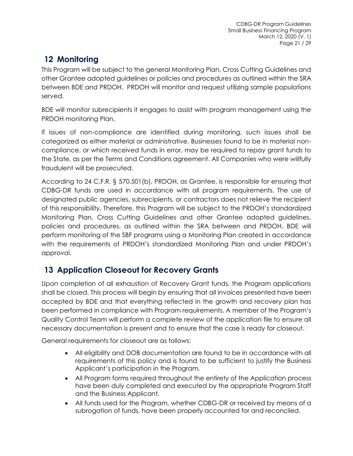# <span id="page-20-0"></span>**12 Monitoring**

This Program will be subject to the general Monitoring Plan, Cross Cutting Guidelines and other Grantee adopted guidelines or policies and procedures as outlined within the SRA between BDE and PRDOH. PRDOH will monitor and request utilizing sample populations served.

BDE will monitor subrecipients it engages to assist with program management using the PRDOH monitoring Plan.

If issues of non-compliance are identified during monitoring, such issues shall be categorized as either material or administrative. Businesses found to be in material noncompliance, or which received funds in error, may be required to repay grant funds to the State, as per the Terms and Conditions agreement. All Companies who were willfully fraudulent will be prosecuted.

According to 24 C.F.R. § 570.501(b), PRDOH, as Grantee, is responsible for ensuring that CDBG-DR funds are used in accordance with all program requirements. The use of designated public agencies, subrecipients, or contractors does not relieve the recipient of this responsibility. Therefore, this Program will be subject to the PRDOH's standardized Monitoring Plan, Cross Cutting Guidelines and other Grantee adopted guidelines, policies and procedures, as outlined within the SRA between and PRDOH. BDE will perform monitoring of the SBF programs using a Monitoring Plan created in accordance with the requirements of PRDOH's standardized Monitoring Plan and under PRDOH's approval.

# <span id="page-20-1"></span>**13 Application Closeout for Recovery Grants**

Upon completion of all exhaustion of Recovery Grant funds, the Program applications shall be closed. This process will begin by ensuring that all invoices presented have been accepted by BDE and that everything reflected in the growth and recovery plan has been performed in compliance with Program requirements. A member of the Program's Quality Control Team will perform a complete review of the application file to ensure all necessary documentation is present and to ensure that the case is ready for closeout.

General requirements for closeout are as follows:

- All eligibility and DOB documentation are found to be in accordance with all requirements of this policy and is found to be sufficient to justify the Business Applicant's participation in the Program.
- All Program forms required throughout the entirety of the Application process have been duly completed and executed by the appropriate Program Staff and the Business Applicant.
- All funds used for the Program, whether CDBG-DR or received by means of a subrogation of funds, have been properly accounted for and reconciled.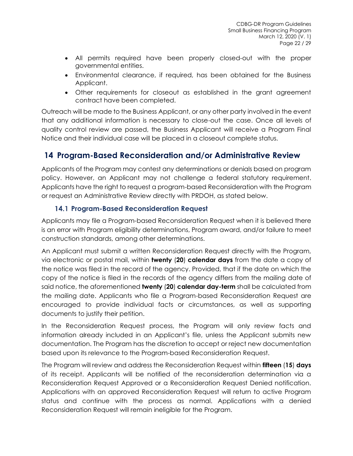- All permits required have been properly closed-out with the proper governmental entities.
- Environmental clearance, if required, has been obtained for the Business Applicant.
- Other requirements for closeout as established in the grant agreement contract have been completed.

Outreach will be made to the Business Applicant, or any other party involved in the event that any additional information is necessary to close-out the case. Once all levels of quality control review are passed, the Business Applicant will receive a Program Final Notice and their individual case will be placed in a closeout complete status.

# <span id="page-21-0"></span>**14 Program-Based Reconsideration and/or Administrative Review**

Applicants of the Program may contest any determinations or denials based on program policy. However, an Applicant may not challenge a federal statutory requirement. Applicants have the right to request a program-based Reconsideration with the Program or request an Administrative Review directly with PRDOH, as stated below.

## <span id="page-21-1"></span>**14.1 Program-Based Reconsideration Request**

Applicants may file a Program-based Reconsideration Request when it is believed there is an error with Program eligibility determinations, Program award, and/or failure to meet construction standards, among other determinations.

An Applicant must submit a written Reconsideration Request directly with the Program, via electronic or postal mail, within **twenty** (**20**) **calendar days** from the date a copy of the notice was filed in the record of the agency. Provided, that if the date on which the copy of the notice is filed in the records of the agency differs from the mailing date of said notice, the aforementioned **twenty** (**20**) **calendar day-term** shall be calculated from the mailing date. Applicants who file a Program-based Reconsideration Request are encouraged to provide individual facts or circumstances, as well as supporting documents to justify their petition.

In the Reconsideration Request process, the Program will only review facts and information already included in an Applicant's file, unless the Applicant submits new documentation. The Program has the discretion to accept or reject new documentation based upon its relevance to the Program-based Reconsideration Request.

The Program will review and address the Reconsideration Request within **fifteen** (**15**) **days** of its receipt. Applicants will be notified of the reconsideration determination via a Reconsideration Request Approved or a Reconsideration Request Denied notification. Applications with an approved Reconsideration Request will return to active Program status and continue with the process as normal. Applications with a denied Reconsideration Request will remain ineligible for the Program.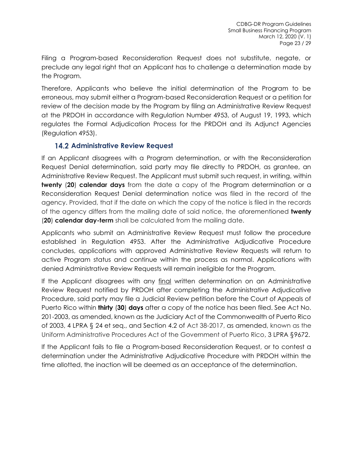Filing a Program-based Reconsideration Request does not substitute, negate, or preclude any legal right that an Applicant has to challenge a determination made by the Program.

Therefore, Applicants who believe the initial determination of the Program to be erroneous, may submit either a Program-based Reconsideration Request or a petition for review of the decision made by the Program by filing an Administrative Review Request at the PRDOH in accordance with Regulation Number 4953, of August 19, 1993, which regulates the Formal Adjudication Process for the PRDOH and its Adjunct Agencies (Regulation 4953).

#### **14.2 Administrative Review Request**

<span id="page-22-0"></span>If an Applicant disagrees with a Program determination, or with the Reconsideration Request Denial determination, said party may file directly to PRDOH, as grantee, an Administrative Review Request. The Applicant must submit such request, in writing, within **twenty** (**20**) **calendar days** from the date a copy of the Program determination or a Reconsideration Request Denial determination notice was filed in the record of the agency. Provided, that if the date on which the copy of the notice is filed in the records of the agency differs from the mailing date of said notice, the aforementioned **twenty**  (**20**) **calendar day-term** shall be calculated from the mailing date.

Applicants who submit an Administrative Review Request must follow the procedure established in Regulation 4953. After the Administrative Adjudicative Procedure concludes, applications with approved Administrative Review Requests will return to active Program status and continue within the process as normal. Applications with denied Administrative Review Requests will remain ineligible for the Program.

If the Applicant disagrees with any final written determination on an Administrative Review Request notified by PRDOH after completing the Administrative Adjudicative Procedure, said party may file a Judicial Review petition before the Court of Appeals of Puerto Rico within **thirty** (**30**) **days** after a copy of the notice has been filed. See Act No. 201-2003, as amended, known as the Judiciary Act of the Commonwealth of Puerto Rico of 2003, 4 LPRA § 24 et seq., and Section 4.2 of Act 38-2017, as amended, known as the Uniform Administrative Procedures Act of the Government of Puerto Rico, 3 LPRA §9672.

If the Applicant fails to file a Program-based Reconsideration Request, or to contest a determination under the Administrative Adjudicative Procedure with PRDOH within the time allotted, the inaction will be deemed as an acceptance of the determination.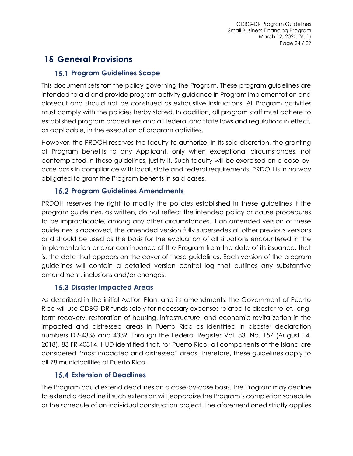# <span id="page-23-0"></span>**15 General Provisions**

## <span id="page-23-1"></span>**Program Guidelines Scope**

This document sets fort the policy governing the Program. These program guidelines are intended to aid and provide program activity guidance in Program implementation and closeout and should not be construed as exhaustive instructions. All Program activities must comply with the policies herby stated. In addition, all program staff must adhere to established program procedures and all federal and state laws and regulations in effect, as applicable, in the execution of program activities.

However, the PRDOH reserves the faculty to authorize, in its sole discretion, the granting of Program benefits to any Applicant, only when exceptional circumstances, not contemplated in these guidelines, justify it. Such faculty will be exercised on a case-bycase basis in compliance with local, state and federal requirements. PRDOH is in no way obligated to grant the Program benefits in said cases.

## **15.2 Program Guidelines Amendments**

<span id="page-23-2"></span>PRDOH reserves the right to modify the policies established in these guidelines if the program guidelines, as written, do not reflect the intended policy or cause procedures to be impracticable, among any other circumstances. If an amended version of these guidelines is approved, the amended version fully supersedes all other previous versions and should be used as the basis for the evaluation of all situations encountered in the implementation and/or continuance of the Program from the date of its issuance, that is, the date that appears on the cover of these guidelines. Each version of the program guidelines will contain a detailed version control log that outlines any substantive amendment, inclusions and/or changes.

## **15.3 Disaster Impacted Areas**

<span id="page-23-3"></span>As described in the initial Action Plan, and its amendments, the Government of Puerto Rico will use CDBG-DR funds solely for necessary expenses related to disaster relief, longterm recovery, restoration of housing, infrastructure, and economic revitalization in the impacted and distressed areas in Puerto Rico as identified in disaster declaration numbers DR-4336 and 4339. Through the Federal Register Vol. 83, No. 157 (August 14, 2018), 83 FR 40314, HUD identified that, for Puerto Rico, all components of the Island are considered "most impacted and distressed" areas. Therefore, these guidelines apply to all 78 municipalities of Puerto Rico.

# **Extension of Deadlines**

<span id="page-23-4"></span>The Program could extend deadlines on a case-by-case basis. The Program may decline to extend a deadline if such extension will jeopardize the Program's completion schedule or the schedule of an individual construction project. The aforementioned strictly applies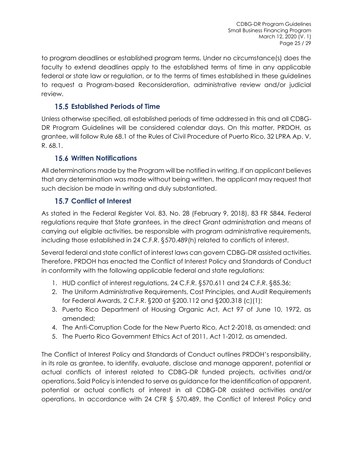to program deadlines or established program terms. Under no circumstance(s) does the faculty to extend deadlines apply to the established terms of time in any applicable federal or state law or regulation, or to the terms of times established in these guidelines to request a Program-based Reconsideration, administrative review and/or judicial review.

# **Established Periods of Time**

<span id="page-24-0"></span>Unless otherwise specified, all established periods of time addressed in this and all CDBG-DR Program Guidelines will be considered calendar days. On this matter, PRDOH, as grantee, will follow Rule 68.1 of the Rules of Civil Procedure of Puerto Rico, 32 LPRA Ap. V, R. 68.1.

## **Written Notifications**

<span id="page-24-1"></span>All determinations made by the Program will be notified in writing. If an applicant believes that any determination was made without being written, the applicant may request that such decision be made in writing and duly substantiated.

# 15.7 Conflict of Interest

<span id="page-24-2"></span>As stated in the Federal Register Vol. 83, No. 28 (February 9, 2018), 83 FR 5844, Federal regulations require that State grantees, in the direct Grant administration and means of carrying out eligible activities, be responsible with program administrative requirements, including those established in 24 C.F.R. §570.489(h) related to conflicts of interest.

Several federal and state conflict of interest laws can govern CDBG-DR assisted activities. Therefore, PRDOH has enacted the Conflict of Interest Policy and Standards of Conduct in conformity with the following applicable federal and state regulations:

- 1. HUD conflict of interest regulations, 24 C.F.R. §570.611 and 24 C.F.R. §85.36;
- 2. The Uniform Administrative Requirements, Cost Principles, and Audit Requirements for Federal Awards, 2 C.F.R. §200 at §200.112 and §200.318 (c)(1);
- 3. Puerto Rico Department of Housing Organic Act, Act 97 of June 10, 1972, as amended;
- 4. The Anti-Corruption Code for the New Puerto Rico, Act 2-2018, as amended; and
- 5. The Puerto Rico Government Ethics Act of 2011, Act 1-2012, as amended.

The Conflict of Interest Policy and Standards of Conduct outlines PRDOH's responsibility, in its role as grantee, to identify, evaluate, disclose and manage apparent, potential or actual conflicts of interest related to CDBG-DR funded projects, activities and/or operations. Said Policy is intended to serve as guidance for the identification of apparent, potential or actual conflicts of interest in all CDBG-DR assisted activities and/or operations. In accordance with 24 CFR § 570.489, the Conflict of Interest Policy and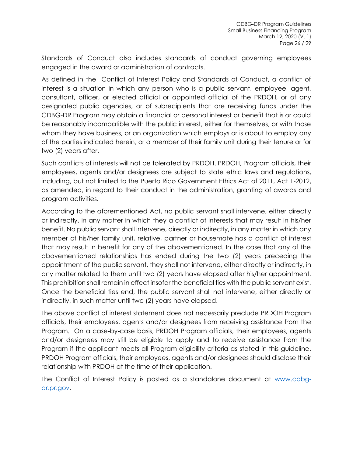Standards of Conduct also includes standards of conduct governing employees engaged in the award or administration of contracts.

As defined in the Conflict of Interest Policy and Standards of Conduct, a conflict of interest is a situation in which any person who is a public servant, employee, agent, consultant, officer, or elected official or appointed official of the PRDOH, or of any designated public agencies, or of subrecipients that are receiving funds under the CDBG-DR Program may obtain a financial or personal interest or benefit that is or could be reasonably incompatible with the public interest, either for themselves, or with those whom they have business, or an organization which employs or is about to employ any of the parties indicated herein, or a member of their family unit during their tenure or for two (2) years after.

Such conflicts of interests will not be tolerated by PRDOH. PRDOH, Program officials, their employees, agents and/or designees are subject to state ethic laws and regulations, including, but not limited to the Puerto Rico Government Ethics Act of 2011, Act 1-2012, as amended, in regard to their conduct in the administration, granting of awards and program activities.

According to the aforementioned Act, no public servant shall intervene, either directly or indirectly, in any matter in which they a conflict of interests that may result in his/her benefit. No public servant shall intervene, directly or indirectly, in any matter in which any member of his/her family unit, relative, partner or housemate has a conflict of interest that may result in benefit for any of the abovementioned. In the case that any of the abovementioned relationships has ended during the two (2) years preceding the appointment of the public servant, they shall not intervene, either directly or indirectly, in any matter related to them until two (2) years have elapsed after his/her appointment. This prohibition shall remain in effect insofar the beneficial ties with the public servant exist. Once the beneficial ties end, the public servant shall not intervene, either directly or indirectly, in such matter until two (2) years have elapsed.

The above conflict of interest statement does not necessarily preclude PRDOH Program officials, their employees, agents and/or designees from receiving assistance from the Program. On a case-by-case basis, PRDOH Program officials, their employees, agents and/or designees may still be eligible to apply and to receive assistance from the Program if the applicant meets all Program eligibility criteria as stated in this guideline. PRDOH Program officials, their employees, agents and/or designees should disclose their relationship with PRDOH at the time of their application.

The Conflict of Interest Policy is posted as a standalone document at [www.cdbg](http://www.cdbg-dr.pr.gov/)[dr.pr.gov.](http://www.cdbg-dr.pr.gov/)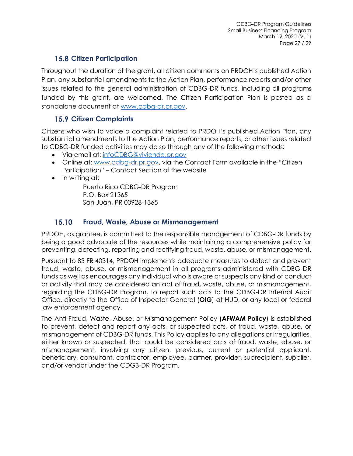## **15.8 Citizen Participation**

<span id="page-26-0"></span>Throughout the duration of the grant, all citizen comments on PRDOH's published Action Plan, any substantial amendments to the Action Plan, performance reports and/or other issues related to the general administration of CDBG-DR funds, including all programs funded by this grant, are welcomed. The Citizen Participation Plan is posted as a standalone document at [www.cdbg-dr.pr.gov.](http://www.cdbg-dr.pr.gov/)

# **Citizen Complaints**

<span id="page-26-1"></span>Citizens who wish to voice a complaint related to PRDOH's published Action Plan, any substantial amendments to the Action Plan, performance reports, or other issues related to CDBG-DR funded activities may do so through any of the following methods:

- Via email at: [infoCDBG@vivienda.pr.gov](mailto:infoCDBG@vivienda.pr.gov)
- Online at: [www.cdbg-dr.pr.gov](http://www.cdbg-dr.pr.gov/), via the Contact Form available in the "Citizen Participation" – Contact Section of the website
- In writing at:

Puerto Rico CDBG-DR Program P.O. Box 21365 San Juan, PR 00928-1365

#### <span id="page-26-2"></span>15.10 **Fraud, Waste, Abuse or Mismanagement**

PRDOH, as grantee, is committed to the responsible management of CDBG-DR funds by being a good advocate of the resources while maintaining a comprehensive policy for preventing, detecting, reporting and rectifying fraud, waste, abuse, or mismanagement.

Pursuant to 83 FR 40314, PRDOH implements adequate measures to detect and prevent fraud, waste, abuse, or mismanagement in all programs administered with CDBG-DR funds as well as encourages any individual who is aware or suspects any kind of conduct or activity that may be considered an act of fraud, waste, abuse, or mismanagement, regarding the CDBG-DR Program, to report such acts to the CDBG-DR Internal Audit Office, directly to the Office of Inspector General (**OIG**) at HUD, or any local or federal law enforcement agency.

The Anti-Fraud, Waste, Abuse, or Mismanagement Policy (**AFWAM Policy**) is established to prevent, detect and report any acts, or suspected acts, of fraud, waste, abuse, or mismanagement of CDBG-DR funds. This Policy applies to any allegations or irregularities, either known or suspected, that could be considered acts of fraud, waste, abuse, or mismanagement, involving any citizen, previous, current or potential applicant, beneficiary, consultant, contractor, employee, partner, provider, subrecipient, supplier, and/or vendor under the CDGB-DR Program.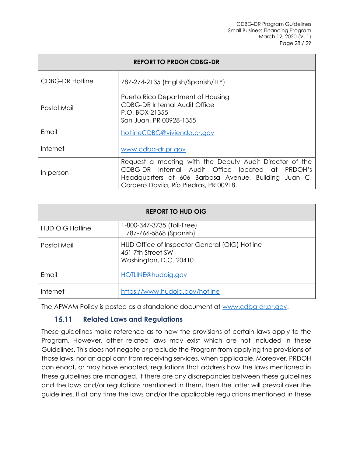| <b>REPORT TO PRDOH CDBG-DR</b> |                                                                                                                                                                                                               |  |  |  |
|--------------------------------|---------------------------------------------------------------------------------------------------------------------------------------------------------------------------------------------------------------|--|--|--|
| <b>CDBG-DR Hotline</b>         | 787-274-2135 (English/Spanish/TTY)                                                                                                                                                                            |  |  |  |
| Postal Mail                    | Puerto Rico Department of Housing<br><b>CDBG-DR Internal Audit Office</b><br>P.O. BOX 21355<br>San Juan, PR 00928-1355                                                                                        |  |  |  |
| Email                          | hotlineCDBG@vivienda.pr.gov                                                                                                                                                                                   |  |  |  |
| Internet                       | www.cdbg-dr.pr.gov                                                                                                                                                                                            |  |  |  |
| In person                      | Request a meeting with the Deputy Audit Director of the<br>CDBG-DR Internal Audit Office located at PRDOH's<br>Headquarters at 606 Barbosa Avenue, Building Juan C.<br>Cordero Davila, Río Piedras, PR 00918. |  |  |  |

| <b>REPORT TO HUD OIG</b> |                                                                                              |  |  |  |
|--------------------------|----------------------------------------------------------------------------------------------|--|--|--|
| <b>HUD OIG Hotline</b>   | 1-800-347-3735 (Toll-Free)<br>787-766-5868 (Spanish)                                         |  |  |  |
| Postal Mail              | HUD Office of Inspector General (OIG) Hotline<br>451 7th Street SW<br>Washington, D.C. 20410 |  |  |  |
| Email                    | HOTLINE@hudoig.gov                                                                           |  |  |  |
| Internet                 | https://www.hudoig.gov/hotline                                                               |  |  |  |

<span id="page-27-0"></span>The AFWAM Policy is posted as a standalone document at [www.cdbg-dr.pr.gov.](http://www.cdbg-dr.pr.gov/)

#### $15.11$ **Related Laws and Regulations**

These guidelines make reference as to how the provisions of certain laws apply to the Program. However, other related laws may exist which are not included in these Guidelines. This does not negate or preclude the Program from applying the provisions of those laws, nor an applicant from receiving services, when applicable. Moreover, PRDOH can enact, or may have enacted, regulations that address how the laws mentioned in these guidelines are managed. If there are any discrepancies between these guidelines and the laws and/or regulations mentioned in them, then the latter will prevail over the guidelines. If at any time the laws and/or the applicable regulations mentioned in these